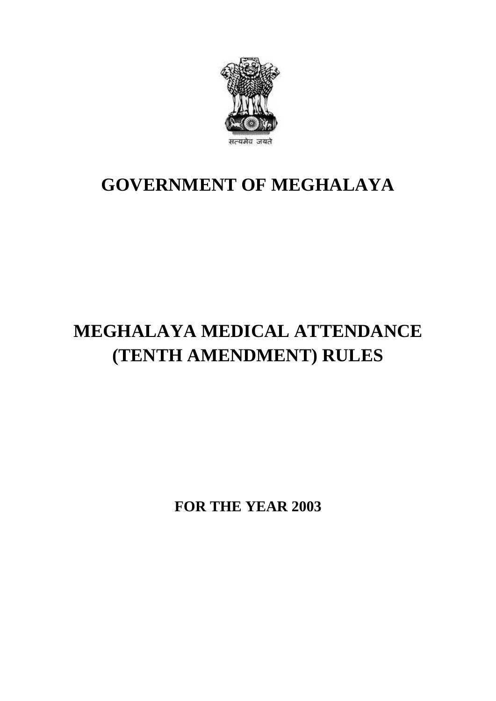

## **GOVERNMENT OF MEGHALAYA**

# **MEGHALAYA MEDICAL ATTENDANCE (TENTH AMENDMENT) RULES**

**FOR THE YEAR 2003**